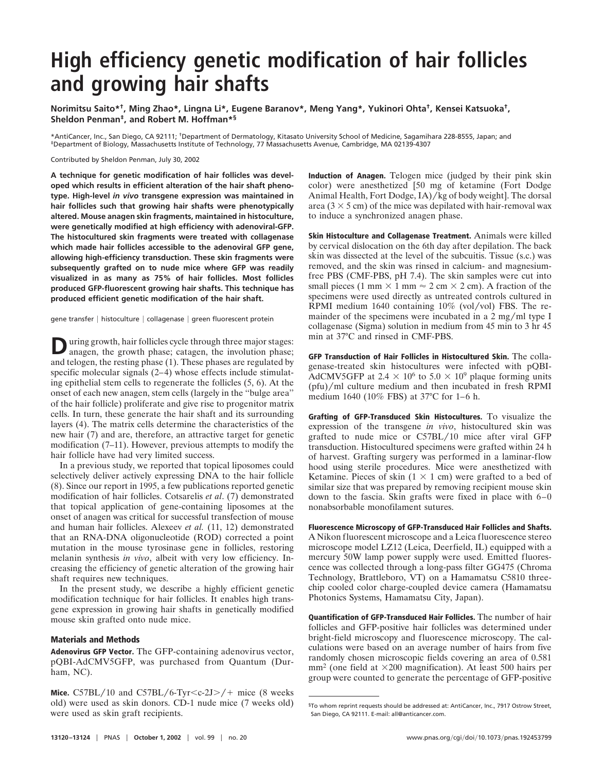## **High efficiency genetic modification of hair follicles and growing hair shafts**

**Norimitsu Saito\*†, Ming Zhao\*, Lingna Li\*, Eugene Baranov\*, Meng Yang\*, Yukinori Ohta†, Kensei Katsuoka†, Sheldon Penman‡, and Robert M. Hoffman\*§**

\*AntiCancer, Inc., San Diego, CA 92111; †Department of Dermatology, Kitasato University School of Medicine, Sagamihara 228-8555, Japan; and ‡Department of Biology, Massachusetts Institute of Technology, 77 Massachusetts Avenue, Cambridge, MA 02139-4307

Contributed by Sheldon Penman, July 30, 2002

**A technique for genetic modification of hair follicles was developed which results in efficient alteration of the hair shaft phenotype. High-level** *in vivo* **transgene expression was maintained in hair follicles such that growing hair shafts were phenotypically altered. Mouse anagen skin fragments, maintained in histoculture, were genetically modified at high efficiency with adenoviral-GFP. The histocultured skin fragments were treated with collagenase which made hair follicles accessible to the adenoviral GFP gene, allowing high-efficiency transduction. These skin fragments were subsequently grafted on to nude mice where GFP was readily visualized in as many as 75% of hair follicles. Most follicles produced GFP-fluorescent growing hair shafts. This technique has produced efficient genetic modification of the hair shaft.**

gene transfer | histoculture | collagenase | green fluorescent protein

**D**uring growth, hair follicles cycle through three major stages:<br>anagen, the growth phase; catagen, the involution phase; and telogen, the resting phase (1). These phases are regulated by specific molecular signals (2–4) whose effects include stimulating epithelial stem cells to regenerate the follicles (5, 6). At the onset of each new anagen, stem cells (largely in the ''bulge area'' of the hair follicle) proliferate and give rise to progenitor matrix cells. In turn, these generate the hair shaft and its surrounding layers (4). The matrix cells determine the characteristics of the new hair (7) and are, therefore, an attractive target for genetic modification (7–11). However, previous attempts to modify the hair follicle have had very limited success.

In a previous study, we reported that topical liposomes could selectively deliver actively expressing DNA to the hair follicle (8). Since our report in 1995, a few publications reported genetic modification of hair follicles. Cotsarelis *et al*. (7) demonstrated that topical application of gene-containing liposomes at the onset of anagen was critical for successful transfection of mouse and human hair follicles. Alexeev *et al.* (11, 12) demonstrated that an RNA-DNA oligonucleotide (ROD) corrected a point mutation in the mouse tyrosinase gene in follicles, restoring melanin synthesis *in vivo*, albeit with very low efficiency. Increasing the efficiency of genetic alteration of the growing hair shaft requires new techniques.

In the present study, we describe a highly efficient genetic modification technique for hair follicles. It enables high transgene expression in growing hair shafts in genetically modified mouse skin grafted onto nude mice.

## **Materials and Methods**

**Adenovirus GFP Vector.** The GFP-containing adenovirus vector, pQBI-AdCMV5GFP, was purchased from Quantum (Durham, NC).

**Mice.** C57BL/10 and C57BL/6-Tyr $\langle c-2J \rangle$  + mice (8 weeks) old) were used as skin donors. CD-1 nude mice (7 weeks old) were used as skin graft recipients.

**Induction of Anagen.** Telogen mice (judged by their pink skin color) were anesthetized [50 mg of ketamine (Fort Dodge Animal Health, Fort Dodge,  $I_A$ )/kg of body weight]. The dorsal area ( $3 \times 5$  cm) of the mice was depilated with hair-removal wax to induce a synchronized anagen phase.

**Skin Histoculture and Collagenase Treatment.** Animals were killed by cervical dislocation on the 6th day after depilation. The back skin was dissected at the level of the subcuitis. Tissue (s.c.) was removed, and the skin was rinsed in calcium- and magnesiumfree PBS (CMF-PBS, pH 7.4). The skin samples were cut into small pieces (1 mm  $\times$  1 mm  $\approx$  2 cm  $\times$  2 cm). A fraction of the specimens were used directly as untreated controls cultured in RPMI medium 1640 containing  $10\%$  (vol/vol) FBS. The remainder of the specimens were incubated in a  $2 \text{ mg/ml}$  type I collagenase (Sigma) solution in medium from 45 min to 3 hr 45 min at 37°C and rinsed in CMF-PBS.

**GFP Transduction of Hair Follicles in Histocultured Skin.** The collagenase-treated skin histocultures were infected with pQBI-AdCMV5GFP at 2.4  $\times$  10<sup>6</sup> to 5.0  $\times$  10<sup>9</sup> plaque forming units  $(pfu)/ml$  culture medium and then incubated in fresh RPMI medium 1640 (10% FBS) at 37°C for 1–6 h.

**Grafting of GFP-Transduced Skin Histocultures.** To visualize the expression of the transgene *in vivo*, histocultured skin was grafted to nude mice or  $C57BL/10$  mice after viral GFP transduction. Histocultured specimens were grafted within 24 h of harvest. Grafting surgery was performed in a laminar-flow hood using sterile procedures. Mice were anesthetized with Ketamine. Pieces of skin  $(1 \times 1$  cm) were grafted to a bed of similar size that was prepared by removing recipient mouse skin down to the fascia. Skin grafts were fixed in place with 6–0 nonabsorbable monofilament sutures.

**Fluorescence Microscopy of GFP-Transduced Hair Follicles and Shafts.** A Nikon fluorescent microscope and a Leica fluorescence stereo microscope model LZ12 (Leica, Deerfield, IL) equipped with a mercury 50W lamp power supply were used. Emitted fluorescence was collected through a long-pass filter GG475 (Chroma Technology, Brattleboro, VT) on a Hamamatsu C5810 threechip cooled color charge-coupled device camera (Hamamatsu Photonics Systems, Hamamatsu City, Japan).

**Quantification of GFP-Transduced Hair Follicles.** The number of hair follicles and GFP-positive hair follicles was determined under bright-field microscopy and fluorescence microscopy. The calculations were based on an average number of hairs from five randomly chosen microscopic fields covering an area of 0.581  $mm<sup>2</sup>$  (one field at  $\times$ 200 magnification). At least 500 hairs per group were counted to generate the percentage of GFP-positive

<sup>§</sup>To whom reprint requests should be addressed at: AntiCancer, Inc., 7917 Ostrow Street, San Diego, CA 92111. E-mail: all@anticancer.com.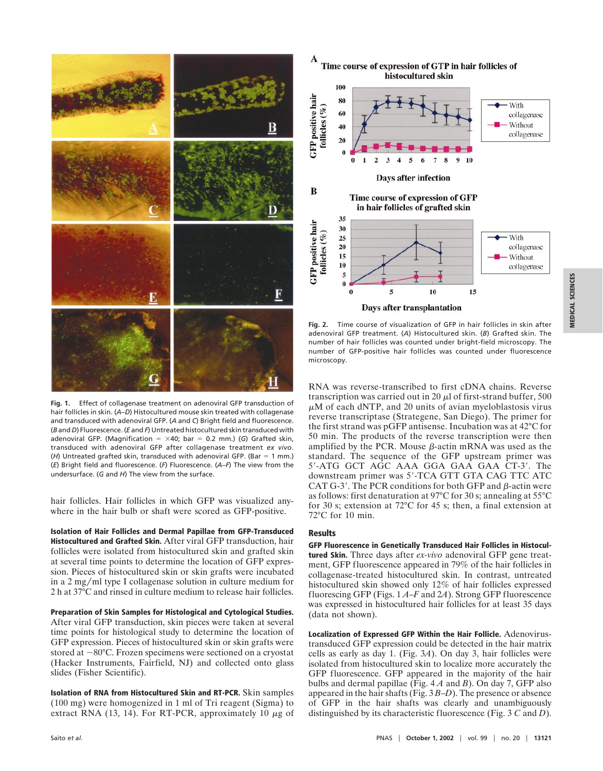

**Fig. 1.** Effect of collagenase treatment on adenoviral GFP transduction of hair follicles in skin. (*A*–*D*) Histocultured mouse skin treated with collagenase and transduced with adenoviral GFP. (*A* and *C*) Bright field and fluorescence. (*B* and *D*) Fluorescence. (*E* and *F*) Untreated histocultured skin transduced with adenoviral GFP. (Magnification =  $\times$ 40; bar = 0.2 mm.) (*G*) Grafted skin, transduced with adenoviral GFP after collagenase treatment *ex vivo*. ( $H$ ) Untreated grafted skin, transduced with adenoviral GFP. (Bar = 1 mm.) (*E*) Bright field and fluorescence. (*F*) Fluorescence. (*A*–*F*) The view from the undersurface. (*G* and *H*) The view from the surface.

hair follicles. Hair follicles in which GFP was visualized anywhere in the hair bulb or shaft were scored as GFP-positive.

**Isolation of Hair Follicles and Dermal Papillae from GFP-Transduced Histocultured and Grafted Skin.** After viral GFP transduction, hair follicles were isolated from histocultured skin and grafted skin at several time points to determine the location of GFP expression. Pieces of histocultured skin or skin grafts were incubated in a 2 mg/ml type I collagenase solution in culture medium for 2 h at 37°C and rinsed in culture medium to release hair follicles.

**Preparation of Skin Samples for Histological and Cytological Studies.** After viral GFP transduction, skin pieces were taken at several time points for histological study to determine the location of GFP expression. Pieces of histocultured skin or skin grafts were stored at  $-80^{\circ}$ C. Frozen specimens were sectioned on a cryostat (Hacker Instruments, Fairfield, NJ) and collected onto glass slides (Fisher Scientific).

**Isolation of RNA from Histocultured Skin and RT-PCR.** Skin samples (100 mg) were homogenized in 1 ml of Tri reagent (Sigma) to extract RNA (13, 14). For RT-PCR, approximately 10  $\mu$ g of



**Fig. 2.** Time course of visualization of GFP in hair follicles in skin after adenoviral GFP treatment. (*A*) Histocultured skin. (*B*) Grafted skin. The number of hair follicles was counted under bright-field microscopy. The number of GFP-positive hair follicles was counted under fluorescence

RNA was reverse-transcribed to first cDNA chains. Reverse transcription was carried out in 20  $\mu$ l of first-strand buffer, 500  $\mu$ M of each dNTP, and 20 units of avian myeloblastosis virus reverse transcriptase (Strategene, San Diego). The primer for the first strand was pGFP antisense. Incubation was at 42°C for 50 min. The products of the reverse transcription were then amplified by the PCR. Mouse  $\beta$ -actin mRNA was used as the standard. The sequence of the GFP upstream primer was  $5'$ -ATG GCT AGC AAA GGA GAA GAA CT-3'. The downstream primer was 5'-TCA GTT GTA CAG TTC ATC CAT  $G-3'$ . The PCR conditions for both GFP and  $\beta$ -actin were as follows: first denaturation at 97°C for 30 s; annealing at 55°C for 30 s; extension at 72°C for 45 s; then, a final extension at 72°C for 10 min.

## **Results**

microscopy.

**GFP Fluorescence in Genetically Transduced Hair Follicles in Histocultured Skin.** Three days after *ex-vivo* adenoviral GFP gene treatment, GFP fluorescence appeared in 79% of the hair follicles in collagenase-treated histocultured skin. In contrast, untreated histocultured skin showed only 12% of hair follicles expressed fluorescing GFP (Figs. 1 *A*–*F* and 2*A*). Strong GFP fluorescence was expressed in histocultured hair follicles for at least 35 days (data not shown).

**Localization of Expressed GFP Within the Hair Follicle.** Adenovirustransduced GFP expression could be detected in the hair matrix cells as early as day 1. (Fig. 3*A*). On day 3, hair follicles were isolated from histocultured skin to localize more accurately the GFP fluorescence. GFP appeared in the majority of the hair bulbs and dermal papillae (Fig. 4 *A* and *B*). On day 7, GFP also appeared in the hair shafts (Fig. 3 *B*–*D*). The presence or absence of GFP in the hair shafts was clearly and unambiguously distinguished by its characteristic fluorescence (Fig. 3 *C* and *D*).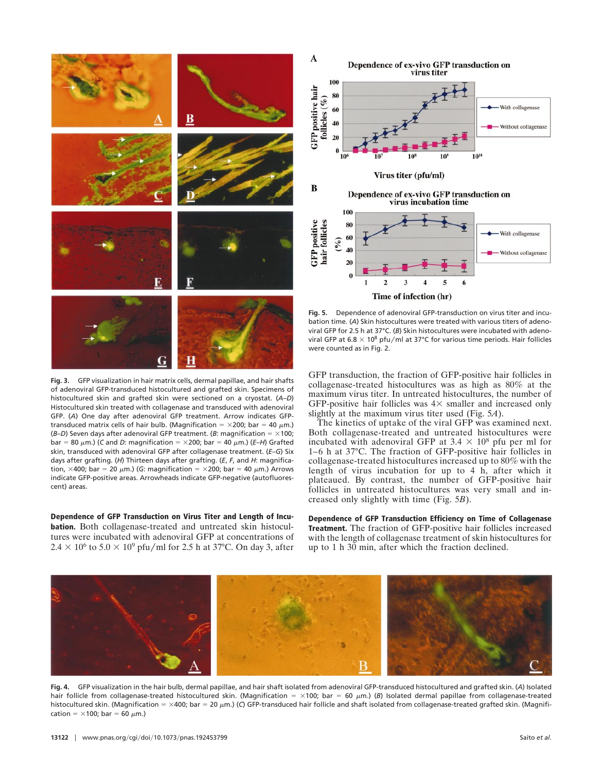

**Fig. 3.** GFP visualization in hair matrix cells, dermal papillae, and hair shafts of adenoviral GFP-transduced histocultured and grafted skin. Specimens of histocultured skin and grafted skin were sectioned on a cryostat. (*A*–*D*) Histocultured skin treated with collagenase and transduced with adenoviral GFP. (*A*) One day after adenoviral GFP treatment. Arrow indicates GFPtransduced matrix cells of hair bulb. (Magnification =  $\times$ 200; bar = 40  $\mu$ m.) ( $B-D$ ) Seven days after adenoviral GFP treatment. ( $B$ : magnification =  $\times$ 100;  $bar = 80 \mu m$ .) (*C* and *D*: magnification =  $\times$ 200; bar = 40  $\mu$ m.) (*E–H*) Grafted skin, transduced with adenoviral GFP after collagenase treatment. (*E*–*G*) Six days after grafting. (*H*) Thirteen days after grafting. (*E*, *F*, and *H*: magnification,  $\times$ 400; bar = 20  $\mu$ m.) (*G*: magnification =  $\times$ 200; bar = 40  $\mu$ m.) Arrows indicate GFP-positive areas. Arrowheads indicate GFP-negative (autofluorescent) areas.

**Dependence of GFP Transduction on Virus Titer and Length of Incubation.** Both collagenase-treated and untreated skin histocultures were incubated with adenoviral GFP at concentrations of  $2.4 \times 10^6$  to  $5.0 \times 10^9$  pfu/ml for 2.5 h at 37°C. On day 3, after



**Fig. 5.** Dependence of adenoviral GFP-transduction on virus titer and incubation time. (*A*) Skin histocultures were treated with various titers of adenoviral GFP for 2.5 h at 37°C. (*B*) Skin histocultures were incubated with adenoviral GFP at 6.8  $\times$  10<sup>8</sup> pfu/ml at 37°C for various time periods. Hair follicles were counted as in Fig. 2.

GFP transduction, the fraction of GFP-positive hair follicles in collagenase-treated histocultures was as high as 80% at the maximum virus titer. In untreated histocultures, the number of GFP-positive hair follicles was  $4\times$  smaller and increased only slightly at the maximum virus titer used (Fig. 5*A*).

The kinetics of uptake of the viral GFP was examined next. Both collagenase-treated and untreated histocultures were incubated with adenoviral GFP at  $3.4 \times 10^8$  pfu per ml for 1–6 h at 37°C. The fraction of GFP-positive hair follicles in collagenase-treated histocultures increased up to 80% with the length of virus incubation for up to 4 h, after which it plateaued. By contrast, the number of GFP-positive hair follicles in untreated histocultures was very small and increased only slightly with time (Fig. 5*B*).

**Dependence of GFP Transduction Efficiency on Time of Collagenase Treatment.** The fraction of GFP-positive hair follicles increased with the length of collagenase treatment of skin histocultures for up to 1 h 30 min, after which the fraction declined.



**Fig. 4.** GFP visualization in the hair bulb, dermal papillae, and hair shaft isolated from adenoviral GFP-transduced histocultured and grafted skin. (*A*) Isolated hair follicle from collagenase-treated histocultured skin. (Magnification =  $\times$ 100; bar = 60  $\mu$ m.) (*B*) Isolated dermal papillae from collagenase-treated histocultured skin. (Magnification = ×400; bar = 20 µm.) (*C*) GFP-transduced hair follicle and shaft isolated from collagenase-treated grafted skin. (Magnification =  $\times$ 100; bar = 60  $\mu$ m.)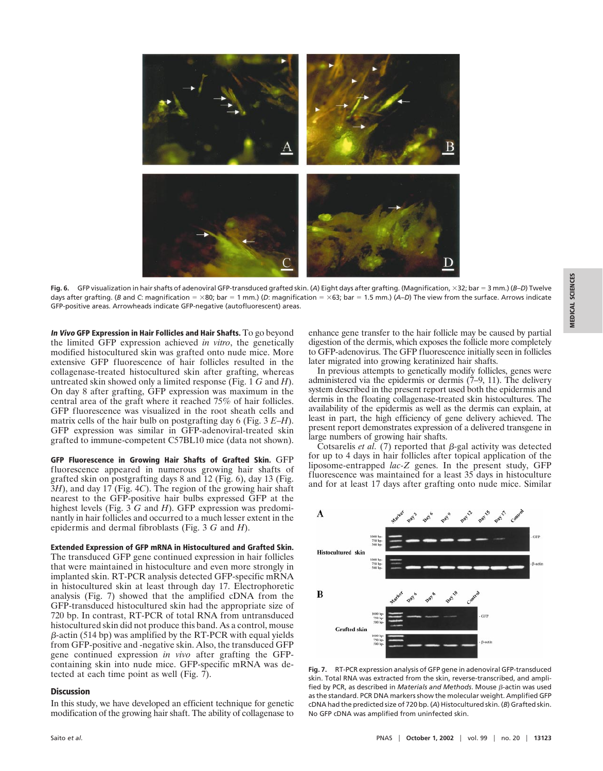

Fig. 6. GFP visualization in hair shafts of adenoviral GFP-transduced grafted skin. (A) Eight days after grafting. (Magnification, ×32; bar = 3 mm.) (*B–D*) Twelve days after grafting. (*B* and *C*: magnification =  $\times$ 80; bar = 1 mm.) (*D*: magnification =  $\times$ 63; bar = 1.5 mm.) (*A-D*) The view from the surface. Arrows indicate GFP-positive areas. Arrowheads indicate GFP-negative (autofluorescent) areas.

**In Vivo GFP Expression in Hair Follicles and Hair Shafts.** To go beyond the limited GFP expression achieved *in vitro*, the genetically modified histocultured skin was grafted onto nude mice. More extensive GFP fluorescence of hair follicles resulted in the collagenase-treated histocultured skin after grafting, whereas untreated skin showed only a limited response (Fig. 1 *G* and *H*). On day 8 after grafting, GFP expression was maximum in the central area of the graft where it reached 75% of hair follicles. GFP fluorescence was visualized in the root sheath cells and matrix cells of the hair bulb on postgrafting day 6 (Fig. 3 *E*–*H*). GFP expression was similar in GFP-adenoviral-treated skin grafted to immune-competent C57BL10 mice (data not shown).

**GFP Fluorescence in Growing Hair Shafts of Grafted Skin.** GFP fluorescence appeared in numerous growing hair shafts of grafted skin on postgrafting days 8 and 12 (Fig. 6), day 13 (Fig. 3*H*), and day 17 (Fig. 4*C*). The region of the growing hair shaft nearest to the GFP-positive hair bulbs expressed GFP at the highest levels (Fig. 3 *G* and *H*). GFP expression was predominantly in hair follicles and occurred to a much lesser extent in the epidermis and dermal fibroblasts (Fig. 3 *G* and *H*).

**Extended Expression of GFP mRNA in Histocultured and Grafted Skin.** The transduced GFP gene continued expression in hair follicles that were maintained in histoculture and even more strongly in implanted skin. RT-PCR analysis detected GFP-specific mRNA in histocultured skin at least through day 17. Electrophoretic analysis (Fig. 7) showed that the amplified cDNA from the GFP-transduced histocultured skin had the appropriate size of 720 bp. In contrast, RT-PCR of total RNA from untransduced histocultured skin did not produce this band. As a control, mouse  $\beta$ -actin (514 bp) was amplified by the RT-PCR with equal yields from GFP-positive and -negative skin. Also, the transduced GFP gene continued expression *in vivo* after grafting the GFPcontaining skin into nude mice. GFP-specific mRNA was detected at each time point as well (Fig. 7).

## **Discussion**

In this study, we have developed an efficient technique for genetic modification of the growing hair shaft. The ability of collagenase to enhance gene transfer to the hair follicle may be caused by partial digestion of the dermis, which exposes the follicle more completely to GFP-adenovirus. The GFP fluorescence initially seen in follicles later migrated into growing keratinized hair shafts.

In previous attempts to genetically modify follicles, genes were administered via the epidermis or dermis (7–9, 11). The delivery system described in the present report used both the epidermis and dermis in the floating collagenase-treated skin histocultures. The availability of the epidermis as well as the dermis can explain, at least in part, the high efficiency of gene delivery achieved. The present report demonstrates expression of a delivered transgene in large numbers of growing hair shafts.

Cotsarelis *et al.* (7) reported that  $\beta$ -gal activity was detected for up to 4 days in hair follicles after topical application of the liposome-entrapped *lac-Z* genes. In the present study, GFP fluorescence was maintained for a least 35 days in histoculture and for at least 17 days after grafting onto nude mice. Similar



**Fig. 7.** RT-PCR expression analysis of GFP gene in adenoviral GFP-transduced skin. Total RNA was extracted from the skin, reverse-transcribed, and amplified by PCR, as described in *Materials and Methods*. Mouse *B*-actin was used as the standard. PCR DNA markers show the molecular weight. Amplified GFP cDNA had the predicted size of 720 bp. (*A*) Histocultured skin. (*B*) Grafted skin. No GFP cDNA was amplified from uninfected skin.